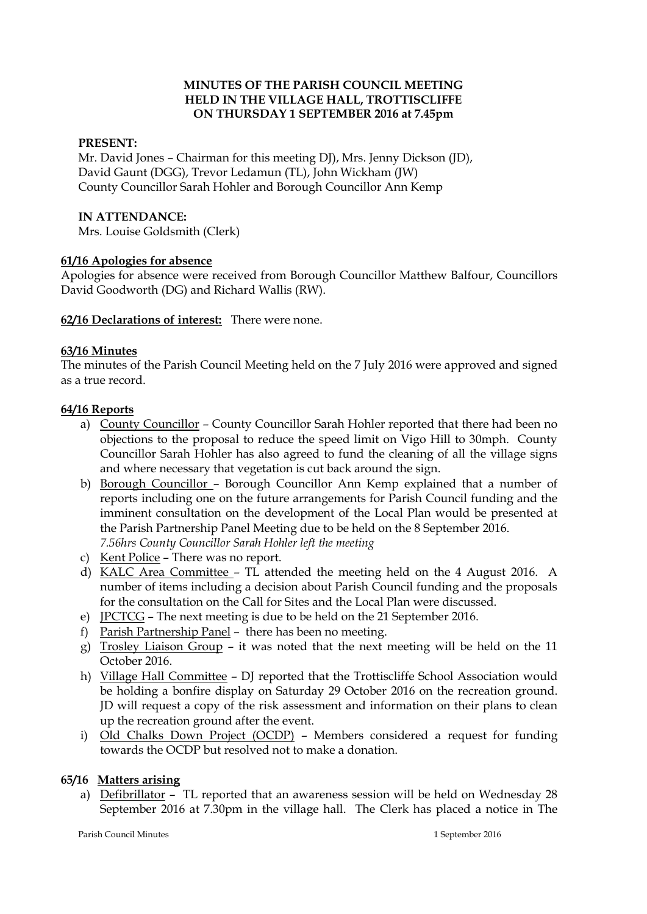# **MINUTES OF THE PARISH COUNCIL MEETING HELD IN THE VILLAGE HALL, TROTTISCLIFFE ON THURSDAY 1 SEPTEMBER 2016 at 7.45pm**

## **PRESENT:**

Mr. David Jones – Chairman for this meeting DJ), Mrs. Jenny Dickson (JD), David Gaunt (DGG), Trevor Ledamun (TL), John Wickham (JW) County Councillor Sarah Hohler and Borough Councillor Ann Kemp

### **IN ATTENDANCE:**

Mrs. Louise Goldsmith (Clerk)

### **61/16 Apologies for absence**

Apologies for absence were received from Borough Councillor Matthew Balfour, Councillors David Goodworth (DG) and Richard Wallis (RW).

**62/16 Declarations of interest:** There were none.

### **63/16 Minutes**

The minutes of the Parish Council Meeting held on the 7 July 2016 were approved and signed as a true record.

### **64/16 Reports**

- a) County Councillor County Councillor Sarah Hohler reported that there had been no objections to the proposal to reduce the speed limit on Vigo Hill to 30mph. County Councillor Sarah Hohler has also agreed to fund the cleaning of all the village signs and where necessary that vegetation is cut back around the sign.
- b) Borough Councillor Borough Councillor Ann Kemp explained that a number of reports including one on the future arrangements for Parish Council funding and the imminent consultation on the development of the Local Plan would be presented at the Parish Partnership Panel Meeting due to be held on the 8 September 2016. *7.56hrs County Councillor Sarah Hohler left the meeting*
- c) Kent Police There was no report.
- d) KALC Area Committee TL attended the meeting held on the 4 August 2016. A number of items including a decision about Parish Council funding and the proposals for the consultation on the Call for Sites and the Local Plan were discussed.
- e) JPCTCG The next meeting is due to be held on the 21 September 2016.
- f) Parish Partnership Panel there has been no meeting.
- g) Trosley Liaison Group it was noted that the next meeting will be held on the 11 October 2016.
- h) Village Hall Committee DJ reported that the Trottiscliffe School Association would be holding a bonfire display on Saturday 29 October 2016 on the recreation ground. JD will request a copy of the risk assessment and information on their plans to clean up the recreation ground after the event.
- i) Old Chalks Down Project (OCDP) Members considered a request for funding towards the OCDP but resolved not to make a donation.

#### **65/16 Matters arising**

a) Defibrillator – TL reported that an awareness session will be held on Wednesday 28 September 2016 at 7.30pm in the village hall. The Clerk has placed a notice in The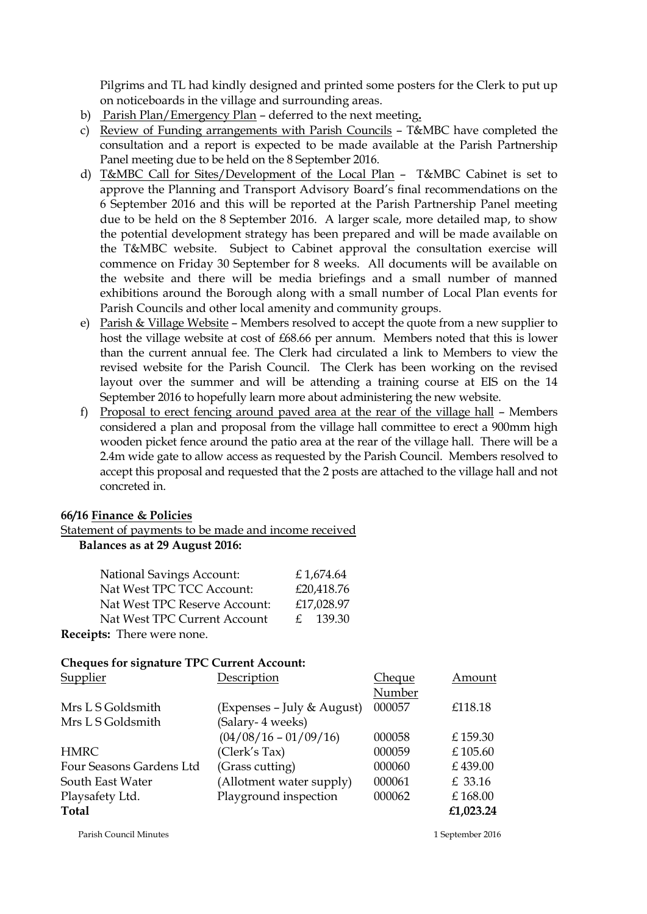Pilgrims and TL had kindly designed and printed some posters for the Clerk to put up on noticeboards in the village and surrounding areas.

- b) Parish Plan/Emergency Plan deferred to the next meeting**.**
- c) Review of Funding arrangements with Parish Councils T&MBC have completed the consultation and a report is expected to be made available at the Parish Partnership Panel meeting due to be held on the 8 September 2016.
- d) T&MBC Call for Sites/Development of the Local Plan T&MBC Cabinet is set to approve the Planning and Transport Advisory Board's final recommendations on the 6 September 2016 and this will be reported at the Parish Partnership Panel meeting due to be held on the 8 September 2016. A larger scale, more detailed map, to show the potential development strategy has been prepared and will be made available on the T&MBC website. Subject to Cabinet approval the consultation exercise will commence on Friday 30 September for 8 weeks. All documents will be available on the website and there will be media briefings and a small number of manned exhibitions around the Borough along with a small number of Local Plan events for Parish Councils and other local amenity and community groups.
- e) Parish & Village Website Members resolved to accept the quote from a new supplier to host the village website at cost of £68.66 per annum. Members noted that this is lower than the current annual fee. The Clerk had circulated a link to Members to view the revised website for the Parish Council. The Clerk has been working on the revised layout over the summer and will be attending a training course at EIS on the 14 September 2016 to hopefully learn more about administering the new website.
- f) Proposal to erect fencing around paved area at the rear of the village hall Members considered a plan and proposal from the village hall committee to erect a 900mm high wooden picket fence around the patio area at the rear of the village hall. There will be a 2.4m wide gate to allow access as requested by the Parish Council. Members resolved to accept this proposal and requested that the 2 posts are attached to the village hall and not concreted in.

# **66/16 Finance & Policies**

Statement of payments to be made and income received  **Balances as at 29 August 2016:**

| <b>National Savings Account:</b> | £1,674.64    |
|----------------------------------|--------------|
| Nat West TPC TCC Account:        | £20,418.76   |
| Nat West TPC Reserve Account:    | £17,028.97   |
| Nat West TPC Current Account     | $f = 139.30$ |
| Receipts: There were none.       |              |

#### **Cheques for signature TPC Current Account:**

| Description                | Cheque | Amount     |
|----------------------------|--------|------------|
|                            | Number |            |
| (Expenses – July & August) | 000057 | £118.18    |
| (Salary-4 weeks)           |        |            |
| $(04/08/16 - 01/09/16)$    | 000058 | £159.30    |
| (Clerk's Tax)              | 000059 | £ $105.60$ |
| (Grass cutting)            | 000060 | £439.00    |
| (Allotment water supply)   | 000061 | £ 33.16    |
| Playground inspection      | 000062 | £168.00    |
|                            |        | £1,023.24  |
|                            |        |            |

Parish Council Minutes 1 September 2016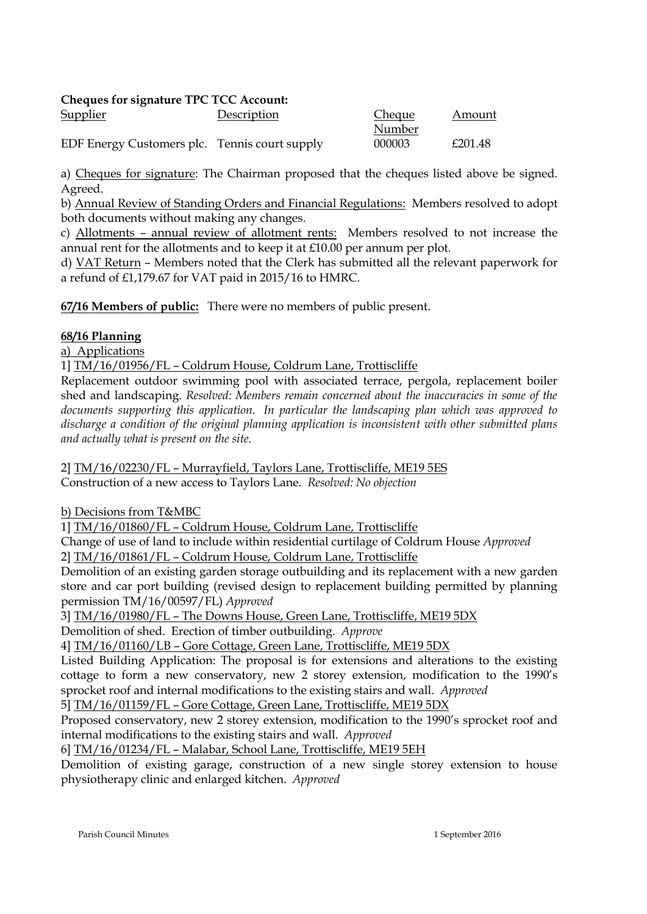# **Cheques for signature TPC TCC Account:**

| <u>Supplier</u>                               | Description | <b>Cheque</b> | Amount  |
|-----------------------------------------------|-------------|---------------|---------|
|                                               |             | Number        |         |
| EDF Energy Customers plc. Tennis court supply |             | 000003        | £201.48 |

a) Cheques for signature: The Chairman proposed that the cheques listed above be signed. Agreed.

b) Annual Review of Standing Orders and Financial Regulations: Members resolved to adopt both documents without making any changes.

c) Allotments – annual review of allotment rents: Members resolved to not increase the annual rent for the allotments and to keep it at £10.00 per annum per plot.

d) VAT Return – Members noted that the Clerk has submitted all the relevant paperwork for a refund of £1,179.67 for VAT paid in 2015/16 to HMRC.

**67/16 Members of public:** There were no members of public present.

# **68/16 Planning**

a) Applications

1] TM/16/01956/FL – Coldrum House, Coldrum Lane, Trottiscliffe

Replacement outdoor swimming pool with associated terrace, pergola, replacement boiler shed and landscaping. *Resolved: Members remain concerned about the inaccuracies in some of the documents supporting this application. In particular the landscaping plan which was approved to discharge a condition of the original planning application is inconsistent with other submitted plans and actually what is present on the site.*

2] TM/16/02230/FL – Murrayfield, Taylors Lane, Trottiscliffe, ME19 5ES Construction of a new access to Taylors Lane. *Resolved: No objection*

b) Decisions from T&MBC

1] TM/16/01860/FL – Coldrum House, Coldrum Lane, Trottiscliffe

Change of use of land to include within residential curtilage of Coldrum House *Approved* 2] TM/16/01861/FL – Coldrum House, Coldrum Lane, Trottiscliffe

Demolition of an existing garden storage outbuilding and its replacement with a new garden store and car port building (revised design to replacement building permitted by planning permission TM/16/00597/FL) *Approved*

3] TM/16/01980/FL – The Downs House, Green Lane, Trottiscliffe, ME19 5DX

Demolition of shed. Erection of timber outbuilding. *Approve*

4] TM/16/01160/LB – Gore Cottage, Green Lane, Trottiscliffe, ME19 5DX

Listed Building Application: The proposal is for extensions and alterations to the existing cottage to form a new conservatory, new 2 storey extension, modification to the 1990's sprocket roof and internal modifications to the existing stairs and wall. *Approved*

5] TM/16/01159/FL – Gore Cottage, Green Lane, Trottiscliffe, ME19 5DX

Proposed conservatory, new 2 storey extension, modification to the 1990's sprocket roof and internal modifications to the existing stairs and wall. *Approved*

6] TM/16/01234/FL – Malabar, School Lane, Trottiscliffe, ME19 5EH

Demolition of existing garage, construction of a new single storey extension to house physiotherapy clinic and enlarged kitchen. *Approved*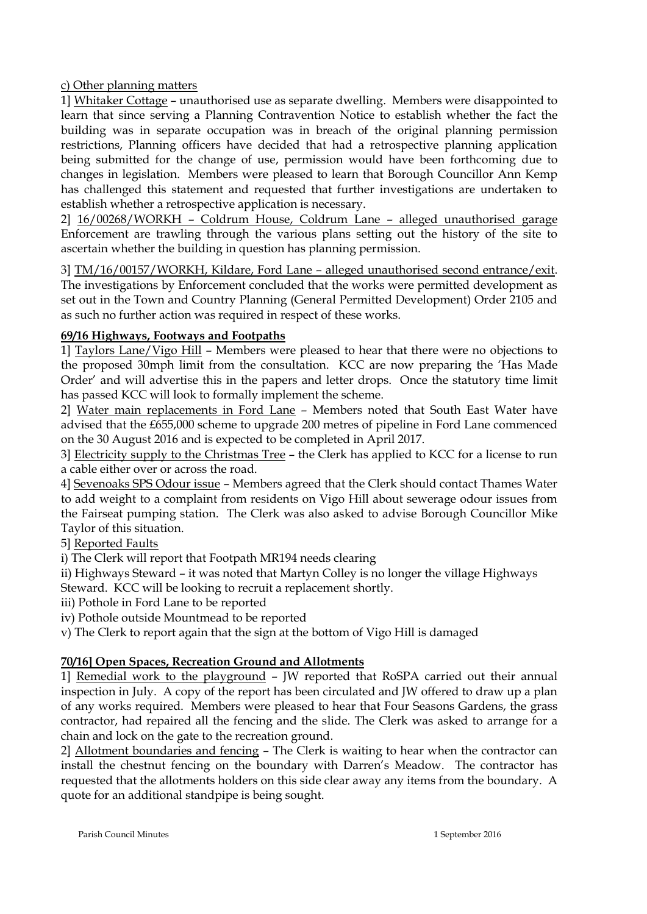# c) Other planning matters

1] Whitaker Cottage – unauthorised use as separate dwelling. Members were disappointed to learn that since serving a Planning Contravention Notice to establish whether the fact the building was in separate occupation was in breach of the original planning permission restrictions, Planning officers have decided that had a retrospective planning application being submitted for the change of use, permission would have been forthcoming due to changes in legislation. Members were pleased to learn that Borough Councillor Ann Kemp has challenged this statement and requested that further investigations are undertaken to establish whether a retrospective application is necessary.

2] 16/00268/WORKH – Coldrum House, Coldrum Lane – alleged unauthorised garage Enforcement are trawling through the various plans setting out the history of the site to ascertain whether the building in question has planning permission.

3] TM/16/00157/WORKH, Kildare, Ford Lane - alleged unauthorised second entrance/exit. The investigations by Enforcement concluded that the works were permitted development as set out in the Town and Country Planning (General Permitted Development) Order 2105 and as such no further action was required in respect of these works.

# **69/16 Highways, Footways and Footpaths**

1] Taylors Lane/Vigo Hill – Members were pleased to hear that there were no objections to the proposed 30mph limit from the consultation. KCC are now preparing the 'Has Made Order' and will advertise this in the papers and letter drops. Once the statutory time limit has passed KCC will look to formally implement the scheme.

2] Water main replacements in Ford Lane – Members noted that South East Water have advised that the £655,000 scheme to upgrade 200 metres of pipeline in Ford Lane commenced on the 30 August 2016 and is expected to be completed in April 2017.

3] Electricity supply to the Christmas Tree – the Clerk has applied to KCC for a license to run a cable either over or across the road.

4] Sevenoaks SPS Odour issue – Members agreed that the Clerk should contact Thames Water to add weight to a complaint from residents on Vigo Hill about sewerage odour issues from the Fairseat pumping station. The Clerk was also asked to advise Borough Councillor Mike Taylor of this situation.

5] Reported Faults

i) The Clerk will report that Footpath MR194 needs clearing

ii) Highways Steward – it was noted that Martyn Colley is no longer the village Highways

Steward. KCC will be looking to recruit a replacement shortly.

iii) Pothole in Ford Lane to be reported

iv) Pothole outside Mountmead to be reported

v) The Clerk to report again that the sign at the bottom of Vigo Hill is damaged

# **70/16] Open Spaces, Recreation Ground and Allotments**

1] Remedial work to the playground – JW reported that RoSPA carried out their annual inspection in July. A copy of the report has been circulated and JW offered to draw up a plan of any works required. Members were pleased to hear that Four Seasons Gardens, the grass contractor, had repaired all the fencing and the slide. The Clerk was asked to arrange for a chain and lock on the gate to the recreation ground.

2] Allotment boundaries and fencing – The Clerk is waiting to hear when the contractor can install the chestnut fencing on the boundary with Darren's Meadow. The contractor has requested that the allotments holders on this side clear away any items from the boundary. A quote for an additional standpipe is being sought.